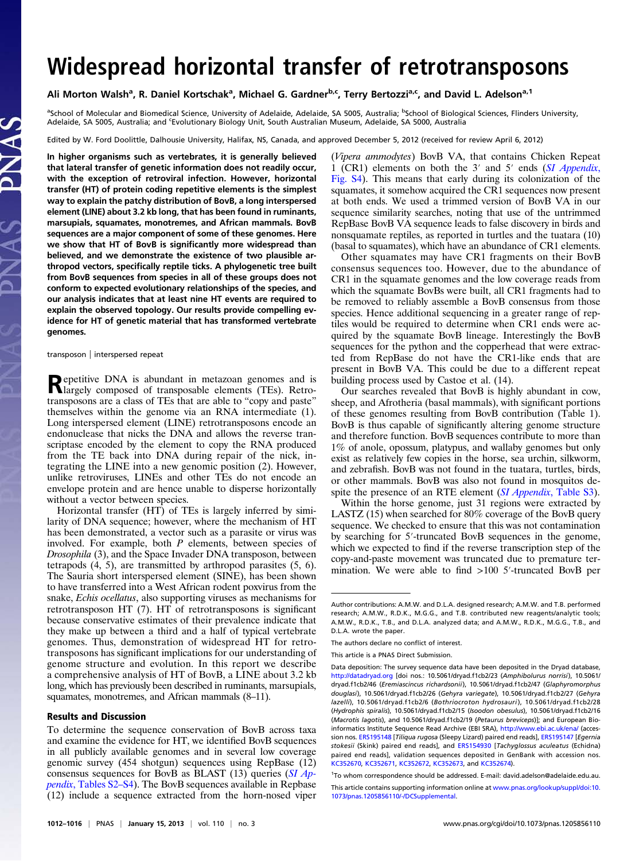# Widespread horizontal transfer of retrotransposons

Ali Morton Walsh<sup>a</sup>, R. Daniel Kortschak<sup>a</sup>, Michael G. Gardner<sup>b,c</sup>, Terry Bertozzi<sup>a,c</sup>, and David L. Adelson<sup>a, 1</sup>

<sup>a</sup>School of Molecular and Biomedical Science, University of Adelaide, Adelaide, SA 5005, Australia; <sup>b</sup>School of Biological Sciences, Flinders University, Adelaide, SA 5005, Australia; and Evolutionary Biology Unit, South Australian Museum, Adelaide, SA 5000, Australia

Edited by W. Ford Doolittle, Dalhousie University, Halifax, NS, Canada, and approved December 5, 2012 (received for review April 6, 2012)

In higher organisms such as vertebrates, it is generally believed that lateral transfer of genetic information does not readily occur, with the exception of retroviral infection. However, horizontal transfer (HT) of protein coding repetitive elements is the simplest way to explain the patchy distribution of BovB, a long interspersed element (LINE) about 3.2 kb long, that has been found in ruminants, marsupials, squamates, monotremes, and African mammals. BovB sequences are a major component of some of these genomes. Here we show that HT of BovB is significantly more widespread than believed, and we demonstrate the existence of two plausible arthropod vectors, specifically reptile ticks. A phylogenetic tree built from BovB sequences from species in all of these groups does not conform to expected evolutionary relationships of the species, and our analysis indicates that at least nine HT events are required to explain the observed topology. Our results provide compelling evidence for HT of genetic material that has transformed vertebrate genomes.

transposon | interspersed repeat

Repetitive DNA is abundant in metazoan genomes and is largely composed of transposable elements (TEs). Retrotransposons are a class of TEs that are able to "copy and paste" themselves within the genome via an RNA intermediate (1). Long interspersed element (LINE) retrotransposons encode an endonuclease that nicks the DNA and allows the reverse transcriptase encoded by the element to copy the RNA produced from the TE back into DNA during repair of the nick, integrating the LINE into a new genomic position (2). However, unlike retroviruses, LINEs and other TEs do not encode an envelope protein and are hence unable to disperse horizontally without a vector between species.

Horizontal transfer (HT) of TEs is largely inferred by similarity of DNA sequence; however, where the mechanism of HT has been demonstrated, a vector such as a parasite or virus was involved. For example, both  $P$  elements, between species of Drosophila (3), and the Space Invader DNA transposon, between tetrapods (4, 5), are transmitted by arthropod parasites (5, 6). The Sauria short interspersed element (SINE), has been shown to have transferred into a West African rodent poxvirus from the snake, Echis ocellatus, also supporting viruses as mechanisms for retrotransposon HT (7). HT of retrotransposons is significant because conservative estimates of their prevalence indicate that they make up between a third and a half of typical vertebrate genomes. Thus, demonstration of widespread HT for retrotransposons has significant implications for our understanding of genome structure and evolution. In this report we describe a comprehensive analysis of HT of BovB, a LINE about 3.2 kb long, which has previously been described in ruminants, marsupials, squamates, monotremes, and African mammals (8–11).

#### Results and Discussion

(Vipera ammodytes) BovB VA, that contains Chicken Repeat 1 (CR1) elements on both the 3′ and 5′ ends ([SI Appendix](http://www.pnas.org/lookup/suppl/doi:10.1073/pnas.1205856110/-/DCSupplemental/sapp.pdf), [Fig. S4](http://www.pnas.org/lookup/suppl/doi:10.1073/pnas.1205856110/-/DCSupplemental/sapp.pdf)). This means that early during its colonization of the squamates, it somehow acquired the CR1 sequences now present at both ends. We used a trimmed version of BovB VA in our sequence similarity searches, noting that use of the untrimmed RepBase BovB VA sequence leads to false discovery in birds and nonsquamate reptiles, as reported in turtles and the tuatara (10) (basal to squamates), which have an abundance of CR1 elements.

Other squamates may have CR1 fragments on their BovB consensus sequences too. However, due to the abundance of CR1 in the squamate genomes and the low coverage reads from which the squamate BovBs were built, all CR1 fragments had to be removed to reliably assemble a BovB consensus from those species. Hence additional sequencing in a greater range of reptiles would be required to determine when CR1 ends were acquired by the squamate BovB lineage. Interestingly the BovB sequences for the python and the copperhead that were extracted from RepBase do not have the CR1-like ends that are present in BovB VA. This could be due to a different repeat building process used by Castoe et al. (14).

Our searches revealed that BovB is highly abundant in cow, sheep, and Afrotheria (basal mammals), with significant portions of these genomes resulting from BovB contribution (Table 1). BovB is thus capable of significantly altering genome structure and therefore function. BovB sequences contribute to more than 1% of anole, opossum, platypus, and wallaby genomes but only exist as relatively few copies in the horse, sea urchin, silkworm, and zebrafish. BovB was not found in the tuatara, turtles, birds, or other mammals. BovB was also not found in mosquitos despite the presence of an RTE element *([SI Appendix](http://www.pnas.org/lookup/suppl/doi:10.1073/pnas.1205856110/-/DCSupplemental/sapp.pdf), Table S3)*.

Within the horse genome, just 31 regions were extracted by LASTZ (15) when searched for 80% coverage of the BovB query sequence. We checked to ensure that this was not contamination by searching for 5′-truncated BovB sequences in the genome, which we expected to find if the reverse transcription step of the copy-and-paste movement was truncated due to premature termination. We were able to find >100 5′-truncated BovB per

To determine the sequence conservation of BovB across taxa and examine the evidence for HT, we identified BovB sequences in all publicly available genomes and in several low coverage genomic survey (454 shotgun) sequences using RepBase (12) consensus sequences for BovB as BLAST (13) queries  $(SIAp-)$ pendix[, Tables S2](http://www.pnas.org/lookup/suppl/doi:10.1073/pnas.1205856110/-/DCSupplemental/sapp.pdf)–[S4](http://www.pnas.org/lookup/suppl/doi:10.1073/pnas.1205856110/-/DCSupplemental/sapp.pdf)). The BovB sequences available in Repbase (12) include a sequence extracted from the horn-nosed viper

Author contributions: A.M.W. and D.L.A. designed research; A.M.W. and T.B. performed research; A.M.W., R.D.K., M.G.G., and T.B. contributed new reagents/analytic tools; A.M.W., R.D.K., T.B., and D.L.A. analyzed data; and A.M.W., R.D.K., M.G.G., T.B., and D.L.A. wrote the paper.

The authors declare no conflict of interest.

This article is a PNAS Direct Submission.

Data deposition: The survey sequence data have been deposited in the Dryad database, <http://datadryad.org> [doi nos.: 10.5061/dryad.f1cb2/23 (Amphibolurus norrisi), 10.5061/ dryad.f1cb2/46 (Eremiascincus richardsonii), 10.5061/dryad.f1cb2/47 (Glaphyromorphus douglasi), 10.5061/dryad.f1cb2/26 (Gehyra variegate), 10.5061/dryad.f1cb2/27 (Gehyra lazelli), 10.5061/dryad.f1cb2/6 (Bothriocroton hydrosauri), 10.5061/dryad.f1cb2/28 (Hydrophis spiralis), 10.5061/dryad.f1cb2/15 (Isoodon obesulus), 10.5061/dryad.f1cb2/16 (Macrotis lagotis), and 10.5061/dryad.f1cb2/19 (Petaurus breviceps)]; and European Bioinformatics Institute Sequence Read Archive (EBI SRA), <http://www.ebi.ac.uk/ena/> (accession nos. [ERS195148](http://www.ebi.ac.uk/ena/data/view/ERS195148) [Tiliqua rugosa (Sleepy Lizard) paired end reads], [ERS195147](http://www.ebi.ac.uk/ena/data/view/ERS195147) [Egernia stokesii (Skink) paired end reads], and [ERS154930](http://www.ebi.ac.uk/ena/data/view/ERS154930) [Tachyglossus aculeatus (Echidna) paired end reads], validation sequences deposited in GenBank with accession nos. [KC352670,](http://www.ncbi.nlm.nih.gov/nucleotide/KC352670) [KC352671,](http://www.ncbi.nlm.nih.gov/nucleotide/KC352671) [KC352672,](http://www.ncbi.nlm.nih.gov/nucleotide/KC352672) [KC352673,](http://www.ncbi.nlm.nih.gov/nucleotide/KC352673) and [KC352674\)](http://www.ncbi.nlm.nih.gov/nucleotide/KC352674).

<sup>&</sup>lt;sup>1</sup>To whom correspondence should be addressed. E-mail: [david.adelson@adelaide.edu.au.](mailto:david.adelson@adelaide.edu.au)

This article contains supporting information online at [www.pnas.org/lookup/suppl/doi:10.](http://www.pnas.org/lookup/suppl/doi:10.1073/pnas.1205856110/-/DCSupplemental) [1073/pnas.1205856110/-/DCSupplemental.](http://www.pnas.org/lookup/suppl/doi:10.1073/pnas.1205856110/-/DCSupplemental)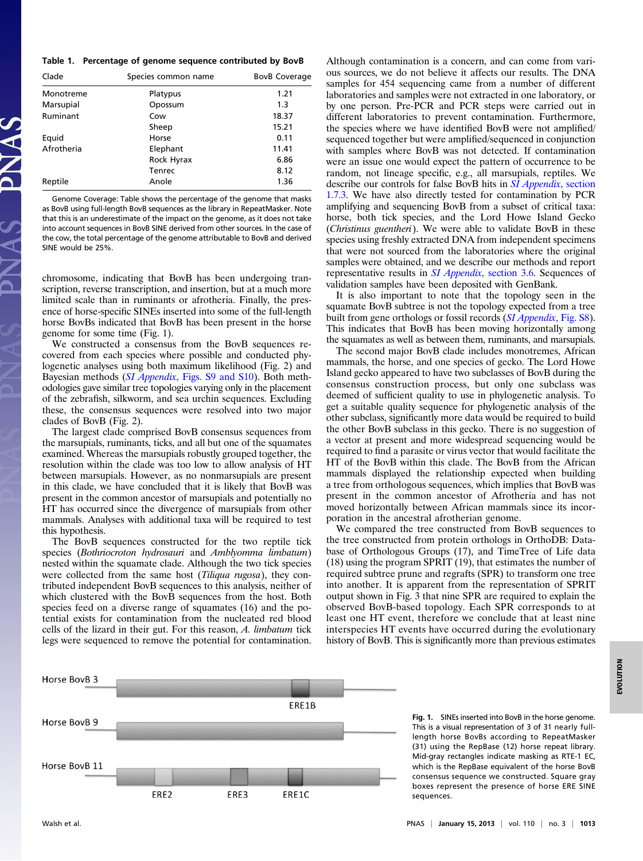### Table 1. Percentage of genome sequence contributed by BovB

| Clade      | Species common name | <b>BovB Coverage</b> |
|------------|---------------------|----------------------|
| Monotreme  | Platypus            | 1.21                 |
| Marsupial  | Opossum             | 1.3                  |
| Ruminant   | Cow                 | 18.37                |
|            | Sheep               | 15.21                |
| Equid      | Horse               | 0.11                 |
| Afrotheria | Elephant            | 11.41                |
|            | Rock Hyrax          | 6.86                 |
|            | <b>Tenrec</b>       | 8.12                 |
| Reptile    | Anole               | 1.36                 |

Genome Coverage: Table shows the percentage of the genome that masks as BovB using full-length BovB sequences as the library in RepeatMasker. Note that this is an underestimate of the impact on the genome, as it does not take into account sequences in BovB SINE derived from other sources. In the case of the cow, the total percentage of the genome attributable to BovB and derived SINE would be 25%.

chromosome, indicating that BovB has been undergoing transcription, reverse transcription, and insertion, but at a much more limited scale than in ruminants or afrotheria. Finally, the presence of horse-specific SINEs inserted into some of the full-length horse BovBs indicated that BovB has been present in the horse genome for some time (Fig. 1).

We constructed a consensus from the BovB sequences recovered from each species where possible and conducted phylogenetic analyses using both maximum likelihood (Fig. 2) and Bayesian methods (SI Appendix[, Figs. S9 and S10\)](http://www.pnas.org/lookup/suppl/doi:10.1073/pnas.1205856110/-/DCSupplemental/sapp.pdf). Both methodologies gave similar tree topologies varying only in the placement of the zebrafish, silkworm, and sea urchin sequences. Excluding these, the consensus sequences were resolved into two major clades of BovB (Fig. 2).

The largest clade comprised BovB consensus sequences from the marsupials, ruminants, ticks, and all but one of the squamates examined. Whereas the marsupials robustly grouped together, the resolution within the clade was too low to allow analysis of HT between marsupials. However, as no nonmarsupials are present in this clade, we have concluded that it is likely that BovB was present in the common ancestor of marsupials and potentially no HT has occurred since the divergence of marsupials from other mammals. Analyses with additional taxa will be required to test this hypothesis.

The BovB sequences constructed for the two reptile tick species (Bothriocroton hydrosauri and Amblyomma limbatum) nested within the squamate clade. Although the two tick species were collected from the same host (Tiliqua rugosa), they contributed independent BovB sequences to this analysis, neither of which clustered with the BovB sequences from the host. Both species feed on a diverse range of squamates (16) and the potential exists for contamination from the nucleated red blood cells of the lizard in their gut. For this reason, A. limbatum tick legs were sequenced to remove the potential for contamination.

Although contamination is a concern, and can come from various sources, we do not believe it affects our results. The DNA samples for 454 sequencing came from a number of different laboratories and samples were not extracted in one laboratory, or by one person. Pre-PCR and PCR steps were carried out in different laboratories to prevent contamination. Furthermore, the species where we have identified BovB were not amplified/ sequenced together but were amplified/sequenced in conjunction with samples where BovB was not detected. If contamination were an issue one would expect the pattern of occurrence to be random, not lineage specific, e.g., all marsupials, reptiles. We describe our controls for false BovB hits in [SI Appendix](http://www.pnas.org/lookup/suppl/doi:10.1073/pnas.1205856110/-/DCSupplemental/sapp.pdf), section [1.7.3.](http://www.pnas.org/lookup/suppl/doi:10.1073/pnas.1205856110/-/DCSupplemental/sapp.pdf) We have also directly tested for contamination by PCR amplifying and sequencing BovB from a subset of critical taxa: horse, both tick species, and the Lord Howe Island Gecko (Christinus guentheri). We were able to validate BovB in these species using freshly extracted DNA from independent specimens that were not sourced from the laboratories where the original samples were obtained, and we describe our methods and report representative results in SI Appendix[, section 3.6](http://www.pnas.org/lookup/suppl/doi:10.1073/pnas.1205856110/-/DCSupplemental/sapp.pdf). Sequences of validation samples have been deposited with GenBank.

It is also important to note that the topology seen in the squamate BovB subtree is not the topology expected from a tree built from gene orthologs or fossil records (*[SI Appendix](http://www.pnas.org/lookup/suppl/doi:10.1073/pnas.1205856110/-/DCSupplemental/sapp.pdf)*, Fig. S8). This indicates that BovB has been moving horizontally among the squamates as well as between them, ruminants, and marsupials.

The second major BovB clade includes monotremes, African mammals, the horse, and one species of gecko. The Lord Howe Island gecko appeared to have two subclasses of BovB during the consensus construction process, but only one subclass was deemed of sufficient quality to use in phylogenetic analysis. To get a suitable quality sequence for phylogenetic analysis of the other subclass, significantly more data would be required to build the other BovB subclass in this gecko. There is no suggestion of a vector at present and more widespread sequencing would be required to find a parasite or virus vector that would facilitate the HT of the BovB within this clade. The BovB from the African mammals displayed the relationship expected when building a tree from orthologous sequences, which implies that BovB was present in the common ancestor of Afrotheria and has not moved horizontally between African mammals since its incorporation in the ancestral afrotherian genome.

We compared the tree constructed from BovB sequences to the tree constructed from protein orthologs in OrthoDB: Database of Orthologous Groups (17), and TimeTree of Life data (18) using the program SPRIT (19), that estimates the number of required subtree prune and regrafts (SPR) to transform one tree into another. It is apparent from the representation of SPRIT output shown in Fig. 3 that nine SPR are required to explain the observed BovB-based topology. Each SPR corresponds to at least one HT event, therefore we conclude that at least nine interspecies HT events have occurred during the evolutionary history of BovB. This is significantly more than previous estimates



Fig. 1. SINEs inserted into BovB in the horse genome. This is a visual representation of 3 of 31 nearly fulllength horse BovBs according to RepeatMasker (31) using the RepBase (12) horse repeat library. Mid-gray rectangles indicate masking as RTE-1 EC, which is the RepBase equivalent of the horse BovB consensus sequence we constructed. Square gray boxes represent the presence of horse ERE SINE sequences.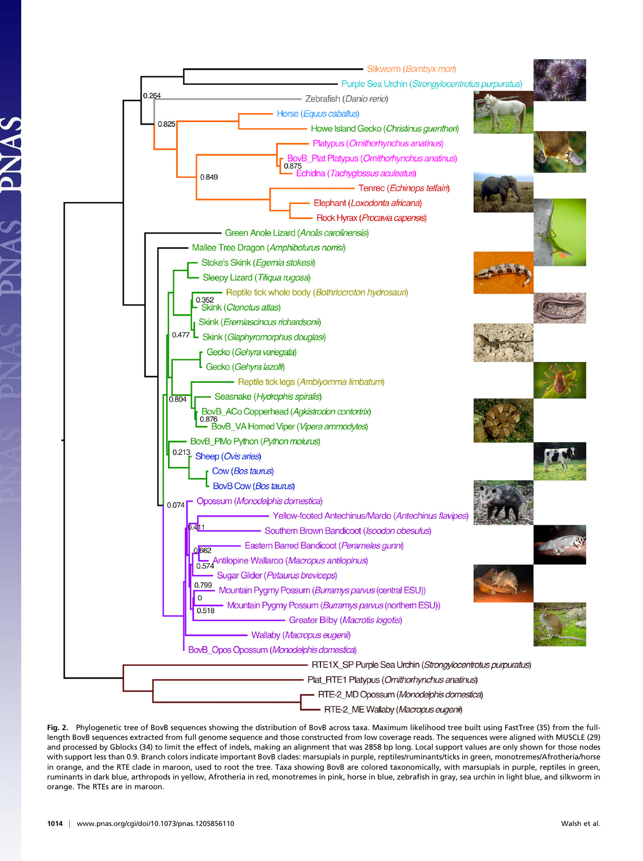

Fig. 2. Phylogenetic tree of BovB sequences showing the distribution of BovB across taxa. Maximum likelihood tree built using FastTree (35) from the fulllength BovB sequences extracted from full genome sequence and those constructed from low coverage reads. The sequences were aligned with MUSCLE (29) and processed by Gblocks (34) to limit the effect of indels, making an alignment that was 2858 bp long. Local support values are only shown for those nodes with support less than 0.9. Branch colors indicate important BovB clades: marsupials in purple, reptiles/ruminants/ticks in green, monotremes/Afrotheria/horse in orange, and the RTE clade in maroon, used to root the tree. Taxa showing BovB are colored taxonomically, with marsupials in purple, reptiles in green, ruminants in dark blue, arthropods in yellow, Afrotheria in red, monotremes in pink, horse in blue, zebrafish in gray, sea urchin in light blue, and silkworm in orange. The RTEs are in maroon.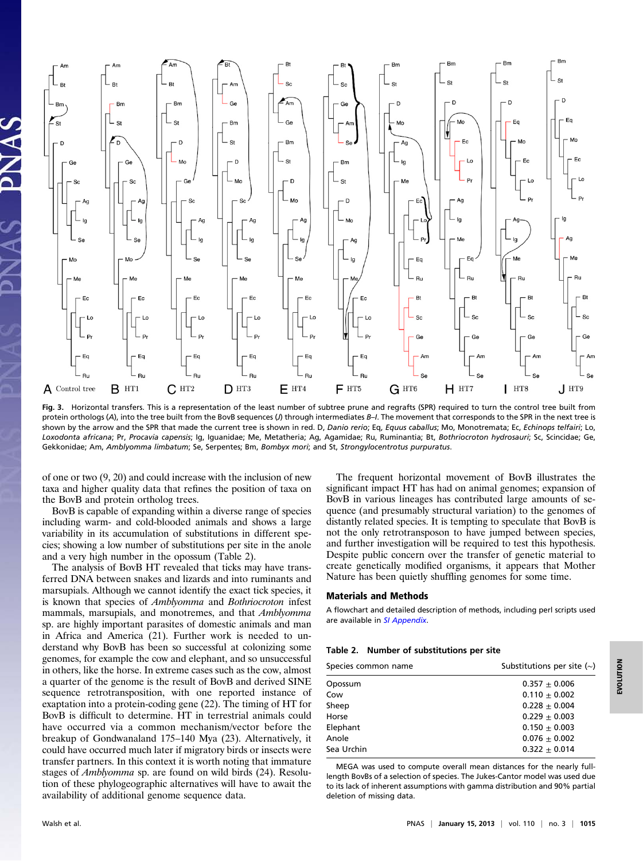

Fig. 3. Horizontal transfers. This is a representation of the least number of subtree prune and regrafts (SPR) required to turn the control tree built from protein orthologs (A), into the tree built from the BovB sequences (J) through intermediates B-I. The movement that corresponds to the SPR in the next tree is shown by the arrow and the SPR that made the current tree is shown in red. D, Danio rerio; Eq, Equus caballus; Mo, Monotremata; Ec, Echinops telfairi; Lo, Loxodonta africana; Pr, Procavia capensis; Ig, Iguanidae; Me, Metatheria; Ag, Agamidae; Ru, Ruminantia; Bt, Bothriocroton hydrosauri; Sc, Scincidae; Ge, Gekkonidae; Am, Amblyomma limbatum; Se, Serpentes; Bm, Bombyx mori; and St, Strongylocentrotus purpuratus.

of one or two (9, 20) and could increase with the inclusion of new taxa and higher quality data that refines the position of taxa on the BovB and protein ortholog trees.

BovB is capable of expanding within a diverse range of species including warm- and cold-blooded animals and shows a large variability in its accumulation of substitutions in different species; showing a low number of substitutions per site in the anole and a very high number in the opossum (Table 2).

The analysis of BovB HT revealed that ticks may have transferred DNA between snakes and lizards and into ruminants and marsupials. Although we cannot identify the exact tick species, it is known that species of Amblyomma and Bothriocroton infest mammals, marsupials, and monotremes, and that *Amblyomma* sp. are highly important parasites of domestic animals and man in Africa and America (21). Further work is needed to understand why BovB has been so successful at colonizing some genomes, for example the cow and elephant, and so unsuccessful in others, like the horse. In extreme cases such as the cow, almost a quarter of the genome is the result of BovB and derived SINE sequence retrotransposition, with one reported instance of exaptation into a protein-coding gene (22). The timing of HT for BovB is difficult to determine. HT in terrestrial animals could have occurred via a common mechanism/vector before the breakup of Gondwanaland 175–140 Mya (23). Alternatively, it could have occurred much later if migratory birds or insects were transfer partners. In this context it is worth noting that immature stages of Amblyomma sp. are found on wild birds (24). Resolution of these phylogeographic alternatives will have to await the availability of additional genome sequence data.

The frequent horizontal movement of BovB illustrates the significant impact HT has had on animal genomes; expansion of BovB in various lineages has contributed large amounts of sequence (and presumably structural variation) to the genomes of distantly related species. It is tempting to speculate that BovB is not the only retrotransposon to have jumped between species, and further investigation will be required to test this hypothesis. Despite public concern over the transfer of genetic material to create genetically modified organisms, it appears that Mother Nature has been quietly shuffling genomes for some time.

# Materials and Methods

A flowchart and detailed description of methods, including perl scripts used are available in [SI Appendix](http://www.pnas.org/lookup/suppl/doi:10.1073/pnas.1205856110/-/DCSupplemental/sapp.pdf).

## Table 2. Number of substitutions per site

| Species common name | Substitutions per site $(\sim)$ |  |
|---------------------|---------------------------------|--|
| Opossum             | $0.357 + 0.006$                 |  |
| Cow                 | $0.110 + 0.002$                 |  |
| Sheep               | $0.228 + 0.004$                 |  |
| Horse               | $0.229 + 0.003$                 |  |
| Elephant            | $0.150 \pm 0.003$               |  |
| Anole               | $0.076 + 0.002$                 |  |
| Sea Urchin          | $0.322 + 0.014$                 |  |
|                     |                                 |  |

MEGA was used to compute overall mean distances for the nearly fulllength BovBs of a selection of species. The Jukes-Cantor model was used due to its lack of inherent assumptions with gamma distribution and 90% partial deletion of missing data.